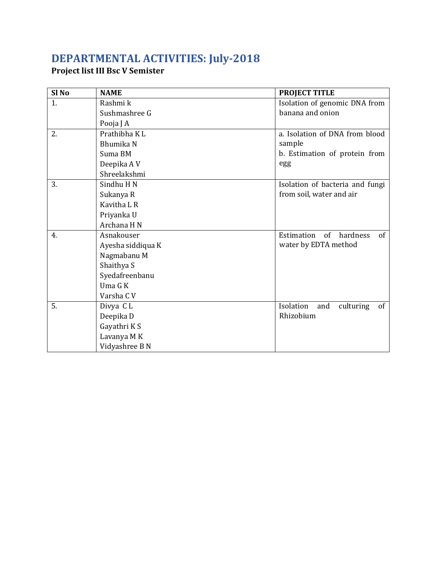## **DEPARTMENTAL ACTIVITIES: July-2018**

## **Project list III Bsc V Semister**

| Sl <sub>No</sub> | <b>NAME</b>       | <b>PROJECT TITLE</b>                |
|------------------|-------------------|-------------------------------------|
| 1.               | Rashmi k          | Isolation of genomic DNA from       |
|                  | Sushmashree G     | banana and onion                    |
|                  | Pooja J A         |                                     |
| 2.               | Prathibha KL      | a. Isolation of DNA from blood      |
|                  | Bhumika N         | sample                              |
|                  | Suma BM           | b. Estimation of protein from       |
|                  | Deepika AV        | egg                                 |
|                  | Shreelakshmi      |                                     |
| 3.               | Sindhu H N        | Isolation of bacteria and fungi     |
|                  | Sukanya R         | from soil, water and air            |
|                  | Kavitha L R       |                                     |
|                  | Priyanka U        |                                     |
|                  | Archana H N       |                                     |
| 4.               | Asnakouser        | of<br>Estimation<br>hardness<br>of  |
|                  | Ayesha siddiqua K | water by EDTA method                |
|                  | Nagmabanu M       |                                     |
|                  | Shaithya S        |                                     |
|                  | Syedafreenbanu    |                                     |
|                  | Uma G K           |                                     |
|                  | Varsha C V        |                                     |
| 5.               | Divya CL          | Isolation<br>culturing<br>of<br>and |
|                  | Deepika D         | Rhizobium                           |
|                  | Gayathri KS       |                                     |
|                  | Lavanya M K       |                                     |
|                  | Vidyashree B N    |                                     |